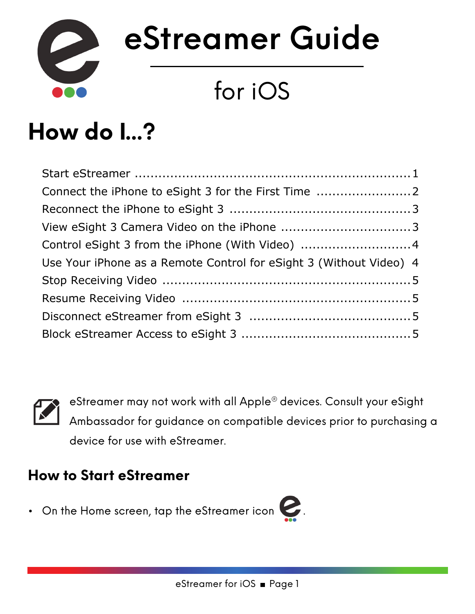

# **eStreamer Guide**

## for iOS

### **How do I...?**

| Control eSight 3 from the iPhone (With Video) 4                    |
|--------------------------------------------------------------------|
| Use Your iPhone as a Remote Control for eSight 3 (Without Video) 4 |
|                                                                    |
|                                                                    |
|                                                                    |
|                                                                    |
|                                                                    |



eStreamer may not work with all Apple® devices. Consult your eSight Ambassador for guidance on compatible devices prior to purchasing a device for use with eStreamer.

#### <span id="page-0-0"></span>**How to Start eStreamer**

• On the Home screen, tap the eStreamer icon  $\mathbf C$  .

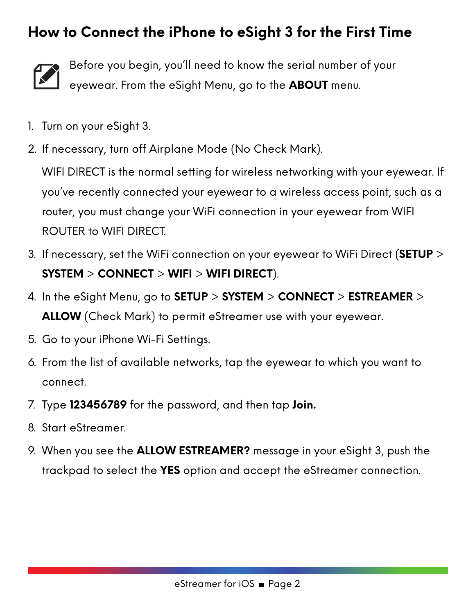#### <span id="page-1-0"></span>**How to Connect the iPhone to eSight 3 for the First Time**



Before you begin, you'll need to know the serial number of your eyewear. From the eSight Menu, go to the **ABOUT** menu.

- 1. Turn on your eSight 3.
- 2. If necessary, turn off Airplane Mode (No Check Mark).

WIFI DIRECT is the normal setting for wireless networking with your eyewear. If you've recently connected your eyewear to a wireless access point, such as a router, you must change your WiFi connection in your eyewear from WIFI ROUTER to WIFI DIRECT.

- 3. If necessary, set the WiFi connection on your eyewear to WiFi Direct (**SETUP** > **SYSTEM** > **CONNECT** > **WIFI** > **WIFI DIRECT**).
- 4. In the eSight Menu, go to **SETUP** > **SYSTEM** > **CONNECT** > **ESTREAMER** > **ALLOW** (Check Mark) to permit eStreamer use with your eyewear.
- 5. Go to your iPhone Wi-Fi Settings.
- 6. From the list of available networks, tap the eyewear to which you want to connect.
- 7. Type **123456789** for the password, and then tap **Join.**
- 8. Start eStreamer.
- 9. When you see the **ALLOW ESTREAMER?** message in your eSight 3, push the trackpad to select the **YES** option and accept the eStreamer connection.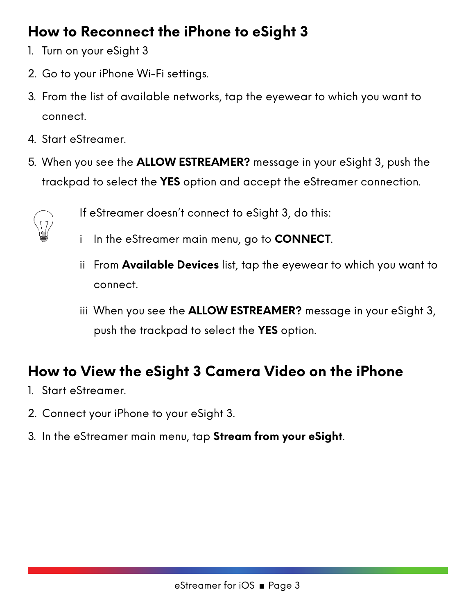#### <span id="page-2-0"></span>**How to Reconnect the iPhone to eSight 3**

- 1. Turn on your eSight 3
- 2. Go to your iPhone Wi-Fi settings.
- 3. From the list of available networks, tap the eyewear to which you want to connect.
- 4. Start eStreamer.
- 5. When you see the **ALLOW ESTREAMER?** message in your eSight 3, push the trackpad to select the **YES** option and accept the eStreamer connection.



- If eStreamer doesn't connect to eSight 3, do this:
- i In the eStreamer main menu, go to **CONNECT**.
- ii From **Available Devices** list, tap the eyewear to which you want to connect.
- iii When you see the **ALLOW ESTREAMER?** message in your eSight 3, push the trackpad to select the **YES** option.

#### <span id="page-2-1"></span>**How to View the eSight 3 Camera Video on the iPhone**

- 1. Start eStreamer.
- 2. Connect your iPhone to your eSight 3.
- 3. In the eStreamer main menu, tap **Stream from your eSight**.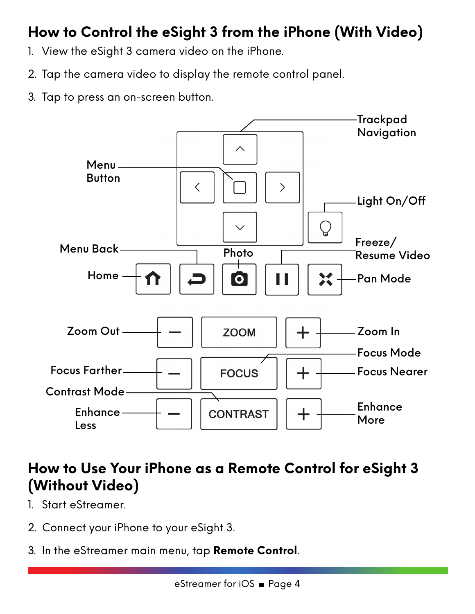#### <span id="page-3-0"></span>**How to Control the eSight 3 from the iPhone (With Video)**

- 1. View the eSight 3 camera video on the iPhone.
- 2. Tap the camera video to display the remote control panel.
- 3. Tap to press an on-screen button.



#### <span id="page-3-1"></span>**How to Use Your iPhone as a Remote Control for eSight 3 (Without Video)**

- 1. Start eStreamer.
- 2. Connect your iPhone to your eSight 3.
- 3. In the eStreamer main menu, tap **Remote Control**.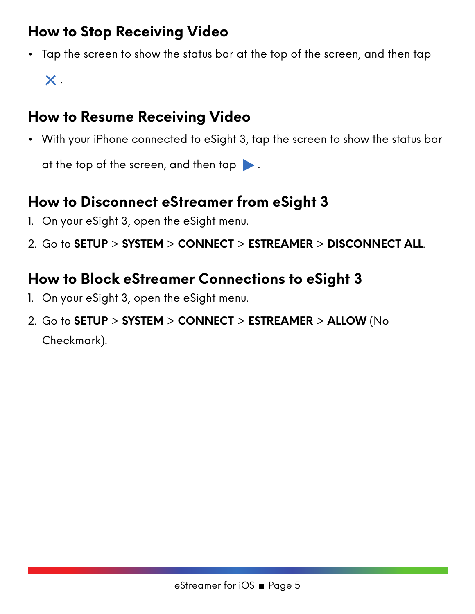#### <span id="page-4-0"></span>**How to Stop Receiving Video**

• Tap the screen to show the status bar at the top of the screen, and then tap  $\boldsymbol{\mathsf{X}}$  .

#### <span id="page-4-1"></span>**How to Resume Receiving Video**

• With your iPhone connected to eSight 3, tap the screen to show the status bar

at the top of the screen, and then tap  $\blacktriangleright$  .

#### <span id="page-4-2"></span>**How to Disconnect eStreamer from eSight 3**

- 1. On your eSight 3, open the eSight menu.
- 2. Go to **SETUP** > **SYSTEM** > **CONNECT** > **ESTREAMER** > **DISCONNECT ALL**.

#### <span id="page-4-3"></span>**How to Block eStreamer Connections to eSight 3**

- 1. On your eSight 3, open the eSight menu.
- 2. Go to **SETUP** > **SYSTEM** > **CONNECT** > **ESTREAMER** > **ALLOW** (No Checkmark).